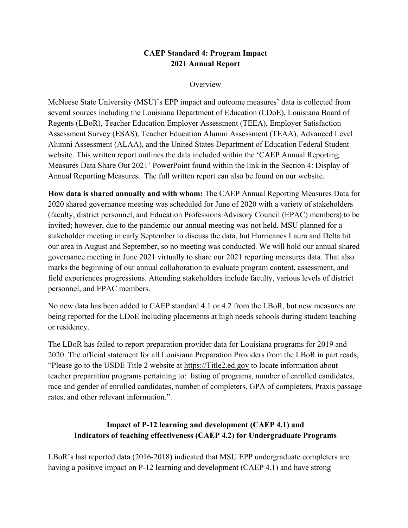## **CAEP Standard 4: Program Impact 2021 Annual Report**

#### **Overview**

McNeese State University (MSU)'s EPP impact and outcome measures' data is collected from several sources including the Louisiana Department of Education (LDoE), Louisiana Board of Regents (LBoR), Teacher Education Employer Assessment (TEEA), Employer Satisfaction Assessment Survey (ESAS), Teacher Education Alumni Assessment (TEAA), Advanced Level Alumni Assessment (ALAA), and the United States Department of Education Federal Student website. This written report outlines the data included within the 'CAEP Annual Reporting Measures Data Share Out 2021' PowerPoint found within the link in the Section 4: Display of Annual Reporting Measures. The full written report can also be found on our website.

**How data is shared annually and with whom:** The CAEP Annual Reporting Measures Data for 2020 shared governance meeting was scheduled for June of 2020 with a variety of stakeholders (faculty, district personnel, and Education Professions Advisory Council (EPAC) members) to be invited; however, due to the pandemic our annual meeting was not held. MSU planned for a stakeholder meeting in early September to discuss the data, but Hurricanes Laura and Delta hit our area in August and September, so no meeting was conducted. We will hold our annual shared governance meeting in June 2021 virtually to share our 2021 reporting measures data. That also marks the beginning of our annual collaboration to evaluate program content, assessment, and field experiences progressions. Attending stakeholders include faculty, various levels of district personnel, and EPAC members.

No new data has been added to CAEP standard 4.1 or 4.2 from the LBoR, but new measures are being reported for the LDoE including placements at high needs schools during student teaching or residency.

The LBoR has failed to report preparation provider data for Louisiana programs for 2019 and 2020. The official statement for all Louisiana Preparation Providers from the LBoR in part reads, "Please go to the USDE Title 2 website at https://Title2.ed.gov to locate information about teacher preparation programs pertaining to: listing of programs, number of enrolled candidates, race and gender of enrolled candidates, number of completers, GPA of completers, Praxis passage rates, and other relevant information.".

# **Impact of P-12 learning and development (CAEP 4.1) and Indicators of teaching effectiveness (CAEP 4.2) for Undergraduate Programs**

LBoR's last reported data (2016-2018) indicated that MSU EPP undergraduate completers are having a positive impact on P-12 learning and development (CAEP 4.1) and have strong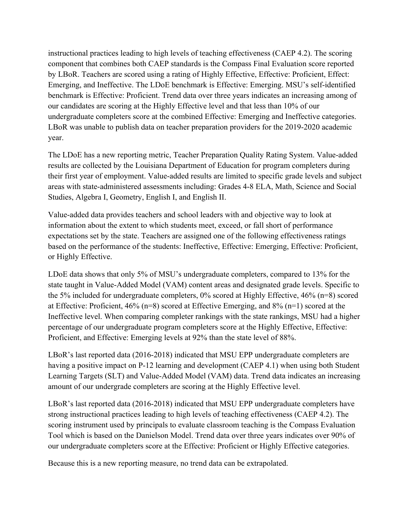instructional practices leading to high levels of teaching effectiveness (CAEP 4.2). The scoring component that combines both CAEP standards is the Compass Final Evaluation score reported by LBoR. Teachers are scored using a rating of Highly Effective, Effective: Proficient, Effect: Emerging, and Ineffective. The LDoE benchmark is Effective: Emerging. MSU's self-identified benchmark is Effective: Proficient. Trend data over three years indicates an increasing among of our candidates are scoring at the Highly Effective level and that less than 10% of our undergraduate completers score at the combined Effective: Emerging and Ineffective categories. LBoR was unable to publish data on teacher preparation providers for the 2019-2020 academic year.

The LDoE has a new reporting metric, Teacher Preparation Quality Rating System. Value-added results are collected by the Louisiana Department of Education for program completers during their first year of employment. Value-added results are limited to specific grade levels and subject areas with state-administered assessments including: Grades 4-8 ELA, Math, Science and Social Studies, Algebra I, Geometry, English I, and English II.

Value-added data provides teachers and school leaders with and objective way to look at information about the extent to which students meet, exceed, or fall short of performance expectations set by the state. Teachers are assigned one of the following effectiveness ratings based on the performance of the students: Ineffective, Effective: Emerging, Effective: Proficient, or Highly Effective.

LDoE data shows that only 5% of MSU's undergraduate completers, compared to 13% for the state taught in Value-Added Model (VAM) content areas and designated grade levels. Specific to the 5% included for undergraduate completers, 0% scored at Highly Effective, 46% (n=8) scored at Effective: Proficient, 46% (n=8) scored at Effective Emerging, and 8% (n=1) scored at the Ineffective level. When comparing completer rankings with the state rankings, MSU had a higher percentage of our undergraduate program completers score at the Highly Effective, Effective: Proficient, and Effective: Emerging levels at 92% than the state level of 88%.

LBoR's last reported data (2016-2018) indicated that MSU EPP undergraduate completers are having a positive impact on P-12 learning and development (CAEP 4.1) when using both Student Learning Targets (SLT) and Value-Added Model (VAM) data. Trend data indicates an increasing amount of our undergrade completers are scoring at the Highly Effective level.

LBoR's last reported data (2016-2018) indicated that MSU EPP undergraduate completers have strong instructional practices leading to high levels of teaching effectiveness (CAEP 4.2). The scoring instrument used by principals to evaluate classroom teaching is the Compass Evaluation Tool which is based on the Danielson Model. Trend data over three years indicates over 90% of our undergraduate completers score at the Effective: Proficient or Highly Effective categories.

Because this is a new reporting measure, no trend data can be extrapolated.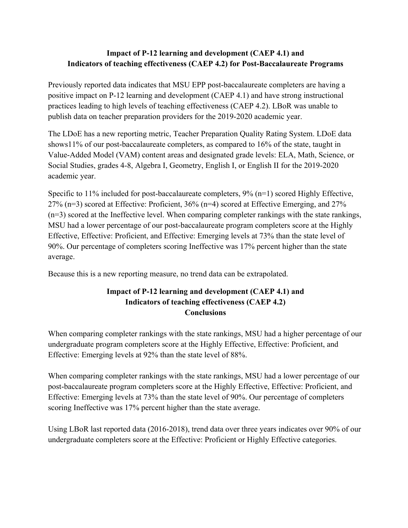# **Impact of P-12 learning and development (CAEP 4.1) and Indicators of teaching effectiveness (CAEP 4.2) for Post-Baccalaureate Programs**

Previously reported data indicates that MSU EPP post-baccalaureate completers are having a positive impact on P-12 learning and development (CAEP 4.1) and have strong instructional practices leading to high levels of teaching effectiveness (CAEP 4.2). LBoR was unable to publish data on teacher preparation providers for the 2019-2020 academic year.

The LDoE has a new reporting metric, Teacher Preparation Quality Rating System. LDoE data shows11% of our post-baccalaureate completers, as compared to 16% of the state, taught in Value-Added Model (VAM) content areas and designated grade levels: ELA, Math, Science, or Social Studies, grades 4-8, Algebra I, Geometry, English I, or English II for the 2019-2020 academic year.

Specific to 11% included for post-baccalaureate completers, 9% (n=1) scored Highly Effective, 27% (n=3) scored at Effective: Proficient, 36% (n=4) scored at Effective Emerging, and 27% (n=3) scored at the Ineffective level. When comparing completer rankings with the state rankings, MSU had a lower percentage of our post-baccalaureate program completers score at the Highly Effective, Effective: Proficient, and Effective: Emerging levels at 73% than the state level of 90%. Our percentage of completers scoring Ineffective was 17% percent higher than the state average.

Because this is a new reporting measure, no trend data can be extrapolated.

# **Impact of P-12 learning and development (CAEP 4.1) and Indicators of teaching effectiveness (CAEP 4.2) Conclusions**

When comparing completer rankings with the state rankings, MSU had a higher percentage of our undergraduate program completers score at the Highly Effective, Effective: Proficient, and Effective: Emerging levels at 92% than the state level of 88%.

When comparing completer rankings with the state rankings, MSU had a lower percentage of our post-baccalaureate program completers score at the Highly Effective, Effective: Proficient, and Effective: Emerging levels at 73% than the state level of 90%. Our percentage of completers scoring Ineffective was 17% percent higher than the state average.

Using LBoR last reported data (2016-2018), trend data over three years indicates over 90% of our undergraduate completers score at the Effective: Proficient or Highly Effective categories.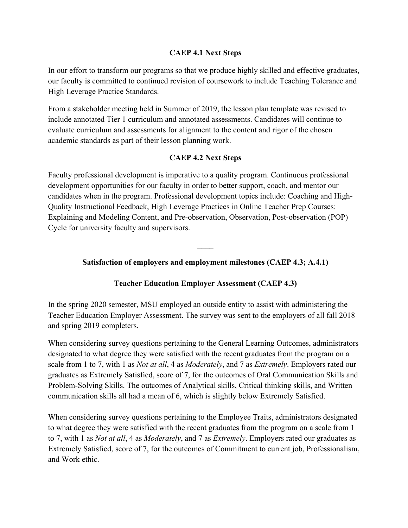#### **CAEP 4.1 Next Steps**

In our effort to transform our programs so that we produce highly skilled and effective graduates, our faculty is committed to continued revision of coursework to include Teaching Tolerance and High Leverage Practice Standards.

From a stakeholder meeting held in Summer of 2019, the lesson plan template was revised to include annotated Tier 1 curriculum and annotated assessments. Candidates will continue to evaluate curriculum and assessments for alignment to the content and rigor of the chosen academic standards as part of their lesson planning work.

#### **CAEP 4.2 Next Steps**

Faculty professional development is imperative to a quality program. Continuous professional development opportunities for our faculty in order to better support, coach, and mentor our candidates when in the program. Professional development topics include: Coaching and High-Quality Instructional Feedback, High Leverage Practices in Online Teacher Prep Courses: Explaining and Modeling Content, and Pre-observation, Observation, Post-observation (POP) Cycle for university faculty and supervisors.

#### **Satisfaction of employers and employment milestones (CAEP 4.3; A.4.1)**

**\_\_\_\_**

#### **Teacher Education Employer Assessment (CAEP 4.3)**

In the spring 2020 semester, MSU employed an outside entity to assist with administering the Teacher Education Employer Assessment. The survey was sent to the employers of all fall 2018 and spring 2019 completers.

When considering survey questions pertaining to the General Learning Outcomes, administrators designated to what degree they were satisfied with the recent graduates from the program on a scale from 1 to 7, with 1 as *Not at all*, 4 as *Moderately*, and 7 as *Extremely*. Employers rated our graduates as Extremely Satisfied, score of 7, for the outcomes of Oral Communication Skills and Problem-Solving Skills. The outcomes of Analytical skills, Critical thinking skills, and Written communication skills all had a mean of 6, which is slightly below Extremely Satisfied.

When considering survey questions pertaining to the Employee Traits, administrators designated to what degree they were satisfied with the recent graduates from the program on a scale from 1 to 7, with 1 as *Not at all*, 4 as *Moderately*, and 7 as *Extremely*. Employers rated our graduates as Extremely Satisfied, score of 7, for the outcomes of Commitment to current job, Professionalism, and Work ethic.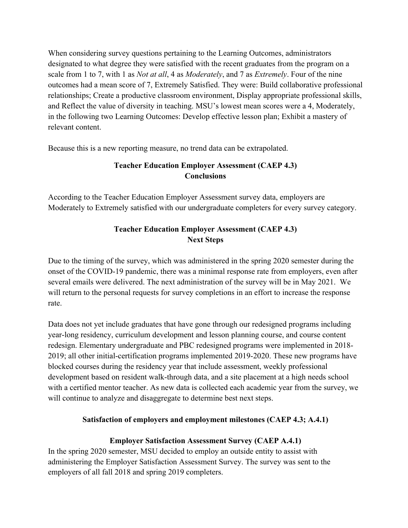When considering survey questions pertaining to the Learning Outcomes, administrators designated to what degree they were satisfied with the recent graduates from the program on a scale from 1 to 7, with 1 as *Not at all*, 4 as *Moderately*, and 7 as *Extremely*. Four of the nine outcomes had a mean score of 7, Extremely Satisfied. They were: Build collaborative professional relationships; Create a productive classroom environment, Display appropriate professional skills, and Reflect the value of diversity in teaching. MSU's lowest mean scores were a 4, Moderately, in the following two Learning Outcomes: Develop effective lesson plan; Exhibit a mastery of relevant content.

Because this is a new reporting measure, no trend data can be extrapolated.

# **Teacher Education Employer Assessment (CAEP 4.3) Conclusions**

According to the Teacher Education Employer Assessment survey data, employers are Moderately to Extremely satisfied with our undergraduate completers for every survey category.

# **Teacher Education Employer Assessment (CAEP 4.3) Next Steps**

Due to the timing of the survey, which was administered in the spring 2020 semester during the onset of the COVID-19 pandemic, there was a minimal response rate from employers, even after several emails were delivered. The next administration of the survey will be in May 2021. We will return to the personal requests for survey completions in an effort to increase the response rate.

Data does not yet include graduates that have gone through our redesigned programs including year-long residency, curriculum development and lesson planning course, and course content redesign. Elementary undergraduate and PBC redesigned programs were implemented in 2018- 2019; all other initial-certification programs implemented 2019-2020. These new programs have blocked courses during the residency year that include assessment, weekly professional development based on resident walk-through data, and a site placement at a high needs school with a certified mentor teacher. As new data is collected each academic year from the survey, we will continue to analyze and disaggregate to determine best next steps.

## **Satisfaction of employers and employment milestones (CAEP 4.3; A.4.1)**

## **Employer Satisfaction Assessment Survey (CAEP A.4.1)**

In the spring 2020 semester, MSU decided to employ an outside entity to assist with administering the Employer Satisfaction Assessment Survey. The survey was sent to the employers of all fall 2018 and spring 2019 completers.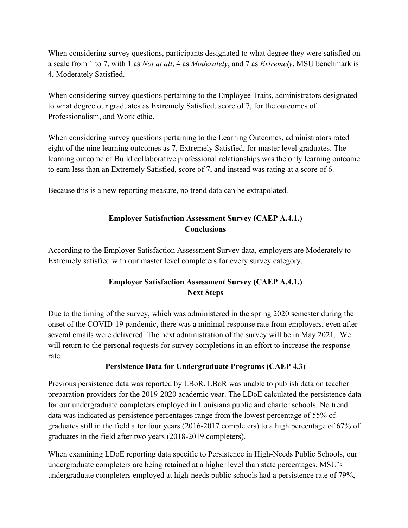When considering survey questions, participants designated to what degree they were satisfied on a scale from 1 to 7, with 1 as *Not at all*, 4 as *Moderately*, and 7 as *Extremely*. MSU benchmark is 4, Moderately Satisfied.

When considering survey questions pertaining to the Employee Traits, administrators designated to what degree our graduates as Extremely Satisfied, score of 7, for the outcomes of Professionalism, and Work ethic.

When considering survey questions pertaining to the Learning Outcomes, administrators rated eight of the nine learning outcomes as 7, Extremely Satisfied, for master level graduates. The learning outcome of Build collaborative professional relationships was the only learning outcome to earn less than an Extremely Satisfied, score of 7, and instead was rating at a score of 6.

Because this is a new reporting measure, no trend data can be extrapolated.

# **Employer Satisfaction Assessment Survey (CAEP A.4.1.) Conclusions**

According to the Employer Satisfaction Assessment Survey data, employers are Moderately to Extremely satisfied with our master level completers for every survey category.

# **Employer Satisfaction Assessment Survey (CAEP A.4.1.) Next Steps**

Due to the timing of the survey, which was administered in the spring 2020 semester during the onset of the COVID-19 pandemic, there was a minimal response rate from employers, even after several emails were delivered. The next administration of the survey will be in May 2021. We will return to the personal requests for survey completions in an effort to increase the response rate.

## **Persistence Data for Undergraduate Programs (CAEP 4.3)**

Previous persistence data was reported by LBoR. LBoR was unable to publish data on teacher preparation providers for the 2019-2020 academic year. The LDoE calculated the persistence data for our undergraduate completers employed in Louisiana public and charter schools. No trend data was indicated as persistence percentages range from the lowest percentage of 55% of graduates still in the field after four years (2016-2017 completers) to a high percentage of 67% of graduates in the field after two years (2018-2019 completers).

When examining LDoE reporting data specific to Persistence in High-Needs Public Schools, our undergraduate completers are being retained at a higher level than state percentages. MSU's undergraduate completers employed at high-needs public schools had a persistence rate of 79%,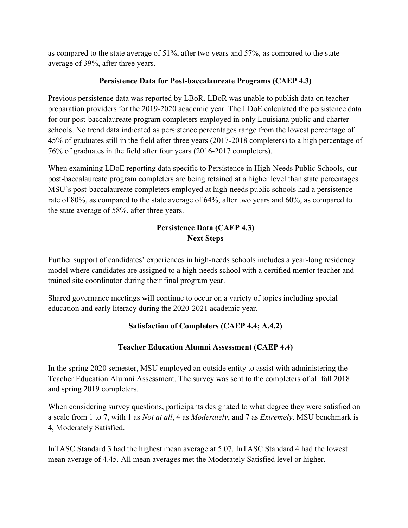as compared to the state average of 51%, after two years and 57%, as compared to the state average of 39%, after three years.

## **Persistence Data for Post-baccalaureate Programs (CAEP 4.3)**

Previous persistence data was reported by LBoR. LBoR was unable to publish data on teacher preparation providers for the 2019-2020 academic year. The LDoE calculated the persistence data for our post-baccalaureate program completers employed in only Louisiana public and charter schools. No trend data indicated as persistence percentages range from the lowest percentage of 45% of graduates still in the field after three years (2017-2018 completers) to a high percentage of 76% of graduates in the field after four years (2016-2017 completers).

When examining LDoE reporting data specific to Persistence in High-Needs Public Schools, our post-baccalaureate program completers are being retained at a higher level than state percentages. MSU's post-baccalaureate completers employed at high-needs public schools had a persistence rate of 80%, as compared to the state average of 64%, after two years and 60%, as compared to the state average of 58%, after three years.

# **Persistence Data (CAEP 4.3) Next Steps**

Further support of candidates' experiences in high-needs schools includes a year-long residency model where candidates are assigned to a high-needs school with a certified mentor teacher and trained site coordinator during their final program year.

Shared governance meetings will continue to occur on a variety of topics including special education and early literacy during the 2020-2021 academic year.

# **Satisfaction of Completers (CAEP 4.4; A.4.2)**

# **Teacher Education Alumni Assessment (CAEP 4.4)**

In the spring 2020 semester, MSU employed an outside entity to assist with administering the Teacher Education Alumni Assessment. The survey was sent to the completers of all fall 2018 and spring 2019 completers.

When considering survey questions, participants designated to what degree they were satisfied on a scale from 1 to 7, with 1 as *Not at all*, 4 as *Moderately*, and 7 as *Extremely*. MSU benchmark is 4, Moderately Satisfied.

InTASC Standard 3 had the highest mean average at 5.07. InTASC Standard 4 had the lowest mean average of 4.45. All mean averages met the Moderately Satisfied level or higher.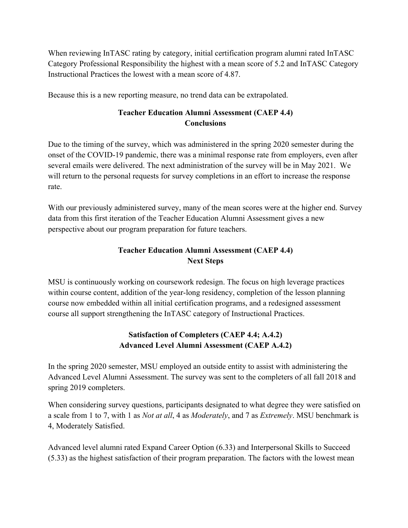When reviewing InTASC rating by category, initial certification program alumni rated InTASC Category Professional Responsibility the highest with a mean score of 5.2 and InTASC Category Instructional Practices the lowest with a mean score of 4.87.

Because this is a new reporting measure, no trend data can be extrapolated.

# **Teacher Education Alumni Assessment (CAEP 4.4) Conclusions**

Due to the timing of the survey, which was administered in the spring 2020 semester during the onset of the COVID-19 pandemic, there was a minimal response rate from employers, even after several emails were delivered. The next administration of the survey will be in May 2021. We will return to the personal requests for survey completions in an effort to increase the response rate.

With our previously administered survey, many of the mean scores were at the higher end. Survey data from this first iteration of the Teacher Education Alumni Assessment gives a new perspective about our program preparation for future teachers.

# **Teacher Education Alumni Assessment (CAEP 4.4) Next Steps**

MSU is continuously working on coursework redesign. The focus on high leverage practices within course content, addition of the year-long residency, completion of the lesson planning course now embedded within all initial certification programs, and a redesigned assessment course all support strengthening the InTASC category of Instructional Practices.

## **Satisfaction of Completers (CAEP 4.4; A.4.2) Advanced Level Alumni Assessment (CAEP A.4.2)**

In the spring 2020 semester, MSU employed an outside entity to assist with administering the Advanced Level Alumni Assessment. The survey was sent to the completers of all fall 2018 and spring 2019 completers.

When considering survey questions, participants designated to what degree they were satisfied on a scale from 1 to 7, with 1 as *Not at all*, 4 as *Moderately*, and 7 as *Extremely*. MSU benchmark is 4, Moderately Satisfied.

Advanced level alumni rated Expand Career Option (6.33) and Interpersonal Skills to Succeed (5.33) as the highest satisfaction of their program preparation. The factors with the lowest mean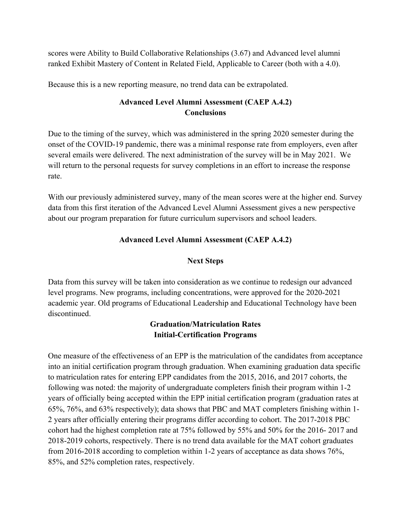scores were Ability to Build Collaborative Relationships (3.67) and Advanced level alumni ranked Exhibit Mastery of Content in Related Field, Applicable to Career (both with a 4.0).

Because this is a new reporting measure, no trend data can be extrapolated.

# **Advanced Level Alumni Assessment (CAEP A.4.2) Conclusions**

Due to the timing of the survey, which was administered in the spring 2020 semester during the onset of the COVID-19 pandemic, there was a minimal response rate from employers, even after several emails were delivered. The next administration of the survey will be in May 2021. We will return to the personal requests for survey completions in an effort to increase the response rate.

With our previously administered survey, many of the mean scores were at the higher end. Survey data from this first iteration of the Advanced Level Alumni Assessment gives a new perspective about our program preparation for future curriculum supervisors and school leaders.

## **Advanced Level Alumni Assessment (CAEP A.4.2)**

## **Next Steps**

Data from this survey will be taken into consideration as we continue to redesign our advanced level programs. New programs, including concentrations, were approved for the 2020-2021 academic year. Old programs of Educational Leadership and Educational Technology have been discontinued.

## **Graduation/Matriculation Rates Initial-Certification Programs**

One measure of the effectiveness of an EPP is the matriculation of the candidates from acceptance into an initial certification program through graduation. When examining graduation data specific to matriculation rates for entering EPP candidates from the 2015, 2016, and 2017 cohorts, the following was noted: the majority of undergraduate completers finish their program within 1-2 years of officially being accepted within the EPP initial certification program (graduation rates at 65%, 76%, and 63% respectively); data shows that PBC and MAT completers finishing within 1- 2 years after officially entering their programs differ according to cohort. The 2017-2018 PBC cohort had the highest completion rate at 75% followed by 55% and 50% for the 2016- 2017 and 2018-2019 cohorts, respectively. There is no trend data available for the MAT cohort graduates from 2016-2018 according to completion within 1-2 years of acceptance as data shows 76%, 85%, and 52% completion rates, respectively.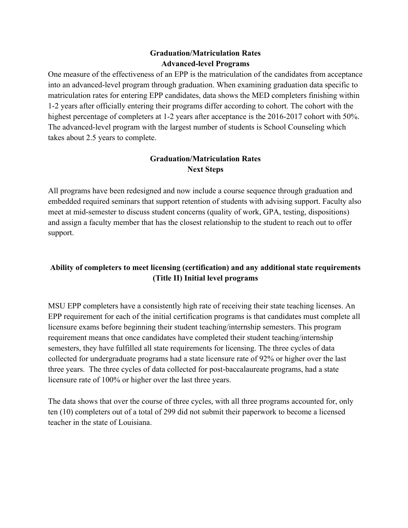## **Graduation/Matriculation Rates Advanced-level Programs**

One measure of the effectiveness of an EPP is the matriculation of the candidates from acceptance into an advanced-level program through graduation. When examining graduation data specific to matriculation rates for entering EPP candidates, data shows the MED completers finishing within 1-2 years after officially entering their programs differ according to cohort. The cohort with the highest percentage of completers at 1-2 years after acceptance is the 2016-2017 cohort with 50%. The advanced-level program with the largest number of students is School Counseling which takes about 2.5 years to complete.

#### **Graduation/Matriculation Rates Next Steps**

All programs have been redesigned and now include a course sequence through graduation and embedded required seminars that support retention of students with advising support. Faculty also meet at mid-semester to discuss student concerns (quality of work, GPA, testing, dispositions) and assign a faculty member that has the closest relationship to the student to reach out to offer support.

# **Ability of completers to meet licensing (certification) and any additional state requirements (Title II) Initial level programs**

MSU EPP completers have a consistently high rate of receiving their state teaching licenses. An EPP requirement for each of the initial certification programs is that candidates must complete all licensure exams before beginning their student teaching/internship semesters. This program requirement means that once candidates have completed their student teaching/internship semesters, they have fulfilled all state requirements for licensing. The three cycles of data collected for undergraduate programs had a state licensure rate of 92% or higher over the last three years. The three cycles of data collected for post-baccalaureate programs, had a state licensure rate of 100% or higher over the last three years.

The data shows that over the course of three cycles, with all three programs accounted for, only ten (10) completers out of a total of 299 did not submit their paperwork to become a licensed teacher in the state of Louisiana.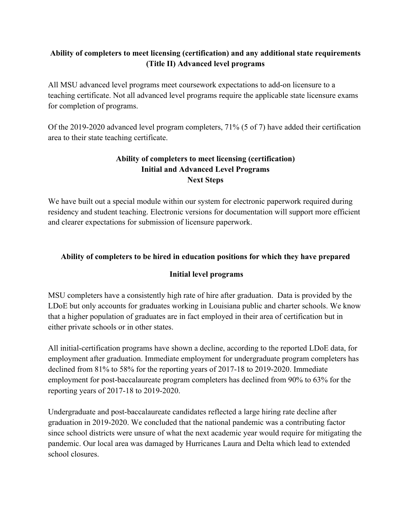# **Ability of completers to meet licensing (certification) and any additional state requirements (Title II) Advanced level programs**

All MSU advanced level programs meet coursework expectations to add-on licensure to a teaching certificate. Not all advanced level programs require the applicable state licensure exams for completion of programs.

Of the 2019-2020 advanced level program completers, 71% (5 of 7) have added their certification area to their state teaching certificate.

# **Ability of completers to meet licensing (certification) Initial and Advanced Level Programs Next Steps**

We have built out a special module within our system for electronic paperwork required during residency and student teaching. Electronic versions for documentation will support more efficient and clearer expectations for submission of licensure paperwork.

# **Ability of completers to be hired in education positions for which they have prepared**

## **Initial level programs**

MSU completers have a consistently high rate of hire after graduation. Data is provided by the LDoE but only accounts for graduates working in Louisiana public and charter schools. We know that a higher population of graduates are in fact employed in their area of certification but in either private schools or in other states.

All initial-certification programs have shown a decline, according to the reported LDoE data, for employment after graduation. Immediate employment for undergraduate program completers has declined from 81% to 58% for the reporting years of 2017-18 to 2019-2020. Immediate employment for post-baccalaureate program completers has declined from 90% to 63% for the reporting years of 2017-18 to 2019-2020.

Undergraduate and post-baccalaureate candidates reflected a large hiring rate decline after graduation in 2019-2020. We concluded that the national pandemic was a contributing factor since school districts were unsure of what the next academic year would require for mitigating the pandemic. Our local area was damaged by Hurricanes Laura and Delta which lead to extended school closures.